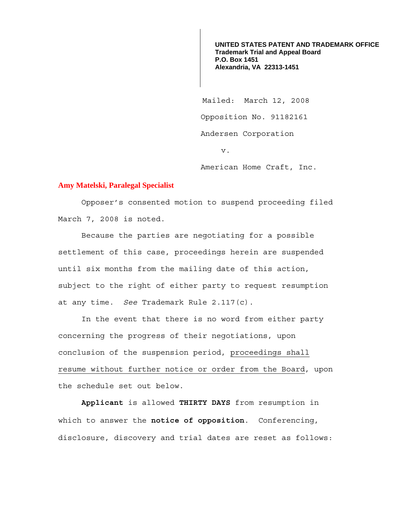**UNITED STATES PATENT AND TRADEMARK OFFICE Trademark Trial and Appeal Board P.O. Box 1451 Alexandria, VA 22313-1451**

 Mailed: March 12, 2008 Opposition No. 91182161 Andersen Corporation v.

American Home Craft, Inc.

## **Amy Matelski, Paralegal Specialist**

 Opposer's consented motion to suspend proceeding filed March 7, 2008 is noted.

 Because the parties are negotiating for a possible settlement of this case, proceedings herein are suspended until six months from the mailing date of this action, subject to the right of either party to request resumption at any time. *See* Trademark Rule 2.117(c).

 In the event that there is no word from either party concerning the progress of their negotiations, upon conclusion of the suspension period, proceedings shall resume without further notice or order from the Board, upon the schedule set out below.

**Applicant** is allowed **THIRTY DAYS** from resumption in which to answer the **notice of opposition**. Conferencing, disclosure, discovery and trial dates are reset as follows: